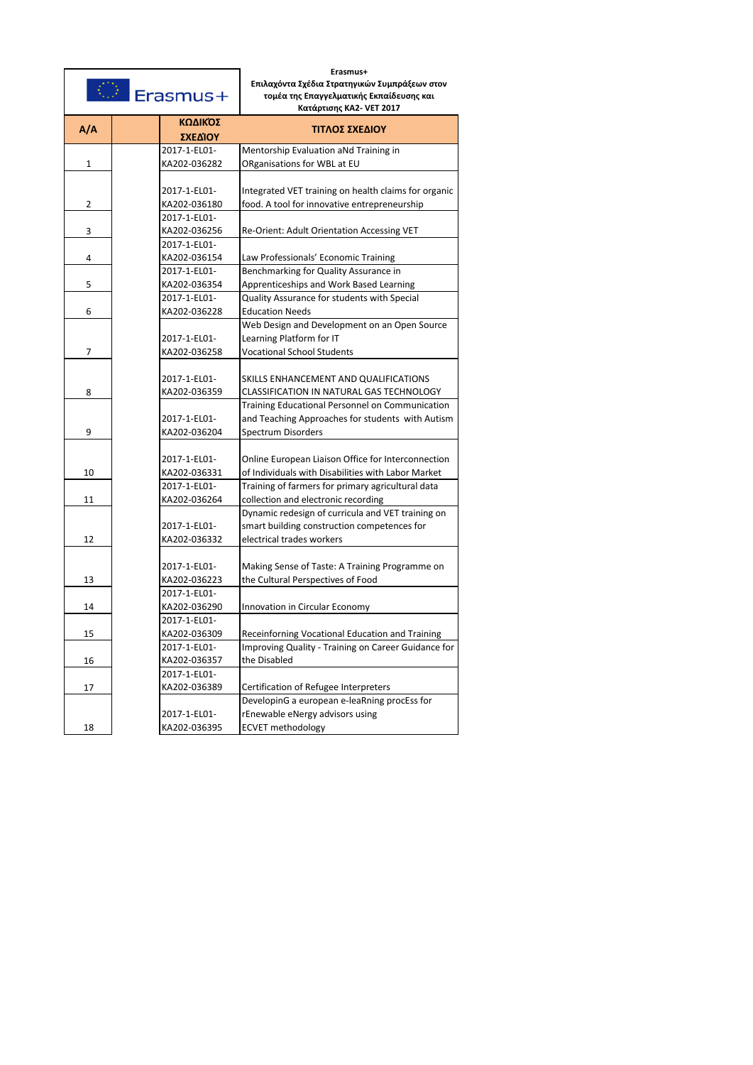|     | Erasmus+                     | Erasmus+<br>Επιλαχόντα Σχέδια Στρατηγικών Συμπράξεων στον<br>τομέα της Επαγγελματικής Εκπαίδευσης και<br>Κατάρτισης ΚΑ2- VET 2017 |
|-----|------------------------------|-----------------------------------------------------------------------------------------------------------------------------------|
| A/A | ΚΩΔΙΚΌΣ<br>ΣΧΕΔΊΟΥ           | ΤΙΤΛΟΣ ΣΧΕΔΙΟΥ                                                                                                                    |
|     | 2017-1-EL01-                 | Mentorship Evaluation aNd Training in                                                                                             |
| 1   | KA202-036282                 | ORganisations for WBL at EU                                                                                                       |
| 2   | 2017-1-EL01-<br>KA202-036180 | Integrated VET training on health claims for organic<br>food. A tool for innovative entrepreneurship                              |
|     | 2017-1-EL01-                 |                                                                                                                                   |
| 3   | KA202-036256                 | Re-Orient: Adult Orientation Accessing VET                                                                                        |
| 4   | 2017-1-EL01-<br>KA202-036154 | Law Professionals' Economic Training                                                                                              |
|     | 2017-1-EL01-                 | Benchmarking for Quality Assurance in                                                                                             |
| 5   | KA202-036354                 | Apprenticeships and Work Based Learning                                                                                           |
|     | 2017-1-EL01-                 | Quality Assurance for students with Special                                                                                       |
| 6   | KA202-036228                 | <b>Education Needs</b>                                                                                                            |
|     |                              | Web Design and Development on an Open Source                                                                                      |
|     | 2017-1-EL01-                 | Learning Platform for IT                                                                                                          |
| 7   | KA202-036258                 | <b>Vocational School Students</b>                                                                                                 |
|     | 2017-1-EL01-                 | SKILLS ENHANCEMENT AND QUALIFICATIONS                                                                                             |
| 8   | KA202-036359                 | CLASSIFICATION IN NATURAL GAS TECHNOLOGY                                                                                          |
|     |                              | Training Educational Personnel on Communication                                                                                   |
|     | 2017-1-EL01-                 | and Teaching Approaches for students with Autism                                                                                  |
| 9   | KA202-036204                 | Spectrum Disorders                                                                                                                |
| 10  | 2017-1-EL01-<br>KA202-036331 | Online European Liaison Office for Interconnection<br>of Individuals with Disabilities with Labor Market                          |
|     | 2017-1-EL01-                 | Training of farmers for primary agricultural data                                                                                 |
| 11  | KA202-036264                 | collection and electronic recording                                                                                               |
|     | 2017-1-EL01-                 | Dynamic redesign of curricula and VET training on<br>smart building construction competences for                                  |
| 12  | KA202-036332                 | electrical trades workers                                                                                                         |
| 13  | 2017-1-EL01-<br>KA202-036223 | Making Sense of Taste: A Training Programme on<br>the Cultural Perspectives of Food                                               |
|     | 2017-1-EL01-                 |                                                                                                                                   |
| 14  | KA202-036290                 | Innovation in Circular Economy                                                                                                    |
|     | 2017-1-EL01-                 |                                                                                                                                   |
| 15  | KA202-036309                 | Receinforning Vocational Education and Training                                                                                   |
|     | 2017-1-EL01-                 | Improving Quality - Training on Career Guidance for                                                                               |
| 16  | KA202-036357                 | the Disabled                                                                                                                      |
|     | 2017-1-EL01-                 |                                                                                                                                   |
| 17  | KA202-036389                 | Certification of Refugee Interpreters                                                                                             |
|     |                              | DevelopinG a european e-leaRning procEss for                                                                                      |
|     | 2017-1-EL01-                 | rEnewable eNergy advisors using                                                                                                   |
| 18  | KA202-036395                 | <b>ECVET methodology</b>                                                                                                          |
|     |                              |                                                                                                                                   |